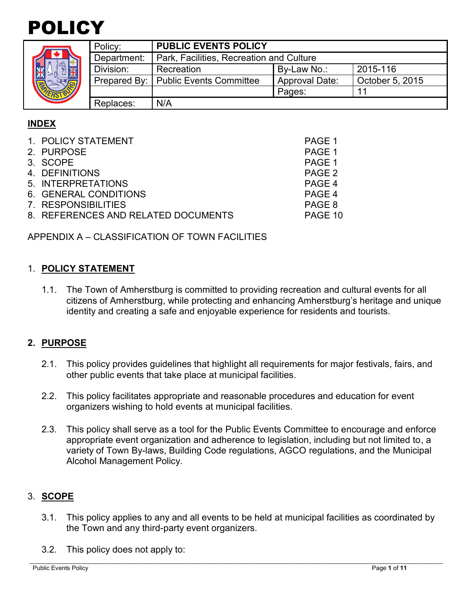# POLICY

|  | Policy:     | <b>PUBLIC EVENTS POLICY</b>              |                       |                 |
|--|-------------|------------------------------------------|-----------------------|-----------------|
|  | Department: | Park, Facilities, Recreation and Culture |                       |                 |
|  | Division:   | Recreation                               | By-Law No.:           | 2015-116        |
|  |             | Prepared By:   Public Events Committee   | <b>Approval Date:</b> | October 5, 2015 |
|  |             |                                          | Pages:                |                 |
|  | Replaces:   | N/A                                      |                       |                 |

# **INDEX**

| 1. POLICY STATEMENT                 | PAGE 1  |
|-------------------------------------|---------|
| 2. PURPOSE                          | PAGE 1  |
| 3. SCOPE                            | PAGE 1  |
| 4. DEFINITIONS                      | PAGE 2  |
| 5. INTERPRETATIONS                  | PAGE 4  |
| 6. GENERAL CONDITIONS               | PAGE 4  |
| 7. RESPONSIBILITIES                 | PAGE 8  |
| 8. REFERENCES AND RELATED DOCUMENTS | PAGE 10 |
|                                     |         |

APPENDIX A – CLASSIFICATION OF TOWN FACILITIES

## 1. **POLICY STATEMENT**

1.1. The Town of Amherstburg is committed to providing recreation and cultural events for all citizens of Amherstburg, while protecting and enhancing Amherstburg's heritage and unique identity and creating a safe and enjoyable experience for residents and tourists.

# **2. PURPOSE**

- 2.1. This policy provides guidelines that highlight all requirements for major festivals, fairs, and other public events that take place at municipal facilities.
- 2.2. This policy facilitates appropriate and reasonable procedures and education for event organizers wishing to hold events at municipal facilities.
- 2.3. This policy shall serve as a tool for the Public Events Committee to encourage and enforce appropriate event organization and adherence to legislation, including but not limited to, a variety of Town By-laws, Building Code regulations, AGCO regulations, and the Municipal Alcohol Management Policy.

# 3. **SCOPE**

- 3.1. This policy applies to any and all events to be held at municipal facilities as coordinated by the Town and any third-party event organizers.
- 3.2. This policy does not apply to: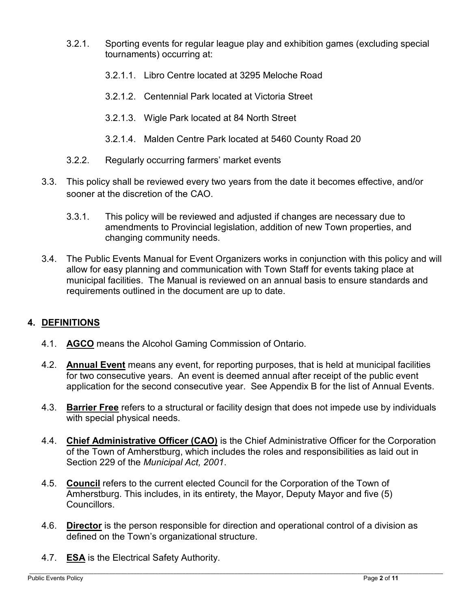- 3.2.1. Sporting events for regular league play and exhibition games (excluding special tournaments) occurring at:
	- 3.2.1.1. Libro Centre located at 3295 Meloche Road
	- 3.2.1.2. Centennial Park located at Victoria Street
	- 3.2.1.3. Wigle Park located at 84 North Street
	- 3.2.1.4. Malden Centre Park located at 5460 County Road 20
- 3.2.2. Regularly occurring farmers' market events
- 3.3. This policy shall be reviewed every two years from the date it becomes effective, and/or sooner at the discretion of the CAO.
	- 3.3.1. This policy will be reviewed and adjusted if changes are necessary due to amendments to Provincial legislation, addition of new Town properties, and changing community needs.
- 3.4. The Public Events Manual for Event Organizers works in conjunction with this policy and will allow for easy planning and communication with Town Staff for events taking place at municipal facilities. The Manual is reviewed on an annual basis to ensure standards and requirements outlined in the document are up to date.

# **4. DEFINITIONS**

- 4.1. **AGCO** means the Alcohol Gaming Commission of Ontario.
- 4.2. **Annual Event** means any event, for reporting purposes, that is held at municipal facilities for two consecutive years. An event is deemed annual after receipt of the public event application for the second consecutive year. See Appendix B for the list of Annual Events.
- 4.3. **Barrier Free** refers to a structural or facility design that does not impede use by individuals with special physical needs.
- 4.4. **Chief Administrative Officer (CAO)** is the Chief Administrative Officer for the Corporation of the Town of Amherstburg, which includes the roles and responsibilities as laid out in Section 229 of the *Municipal Act, 2001*.
- 4.5. **Council** refers to the current elected Council for the Corporation of the Town of Amherstburg. This includes, in its entirety, the Mayor, Deputy Mayor and five (5) Councillors.
- 4.6. **Director** is the person responsible for direction and operational control of a division as defined on the Town's organizational structure.
- 4.7. **ESA** is the Electrical Safety Authority.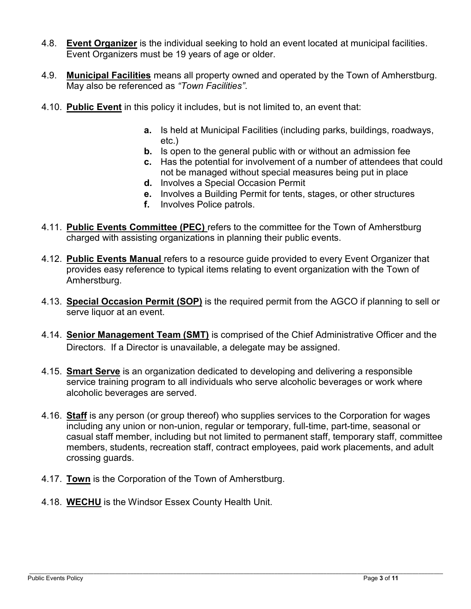- 4.8. **Event Organizer** is the individual seeking to hold an event located at municipal facilities. Event Organizers must be 19 years of age or older.
- 4.9. **Municipal Facilities** means all property owned and operated by the Town of Amherstburg. May also be referenced as *"Town Facilities"*.
- 4.10. **Public Event** in this policy it includes, but is not limited to, an event that:
	- **a.** Is held at Municipal Facilities (including parks, buildings, roadways, etc.)
	- **b.** Is open to the general public with or without an admission fee
	- **c.** Has the potential for involvement of a number of attendees that could not be managed without special measures being put in place
	- **d.** Involves a Special Occasion Permit
	- **e.** Involves a Building Permit for tents, stages, or other structures
	- **f.** Involves Police patrols.
- 4.11. **Public Events Committee (PEC)** refers to the committee for the Town of Amherstburg charged with assisting organizations in planning their public events.
- 4.12. **Public Events Manual** refers to a resource guide provided to every Event Organizer that provides easy reference to typical items relating to event organization with the Town of Amherstburg.
- 4.13. **Special Occasion Permit (SOP)** is the required permit from the AGCO if planning to sell or serve liquor at an event.
- 4.14. **Senior Management Team (SMT)** is comprised of the Chief Administrative Officer and the Directors. If a Director is unavailable, a delegate may be assigned.
- 4.15. **Smart Serve** is an organization dedicated to developing and delivering a responsible service training program to all individuals who serve alcoholic beverages or work where alcoholic beverages are served.
- 4.16. **Staff** is any person (or group thereof) who supplies services to the Corporation for wages including any union or non-union, regular or temporary, full-time, part-time, seasonal or casual staff member, including but not limited to permanent staff, temporary staff, committee members, students, recreation staff, contract employees, paid work placements, and adult crossing guards.
- 4.17. **Town** is the Corporation of the Town of Amherstburg.
- 4.18. **WECHU** is the Windsor Essex County Health Unit.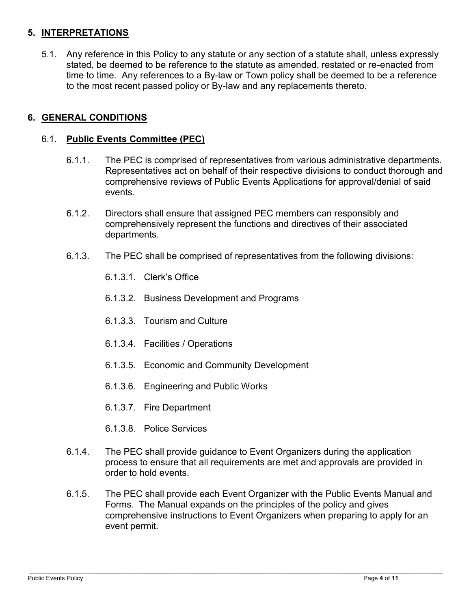# **5. INTERPRETATIONS**

5.1. Any reference in this Policy to any statute or any section of a statute shall, unless expressly stated, be deemed to be reference to the statute as amended, restated or re-enacted from time to time. Any references to a By-law or Town policy shall be deemed to be a reference to the most recent passed policy or By-law and any replacements thereto.

# **6. GENERAL CONDITIONS**

## 6.1. **Public Events Committee (PEC)**

- 6.1.1. The PEC is comprised of representatives from various administrative departments. Representatives act on behalf of their respective divisions to conduct thorough and comprehensive reviews of Public Events Applications for approval/denial of said events.
- 6.1.2. Directors shall ensure that assigned PEC members can responsibly and comprehensively represent the functions and directives of their associated departments.
- 6.1.3. The PEC shall be comprised of representatives from the following divisions:
	- 6.1.3.1. Clerk's Office
	- 6.1.3.2. Business Development and Programs
	- 6.1.3.3. Tourism and Culture
	- 6.1.3.4. Facilities / Operations
	- 6.1.3.5. Economic and Community Development
	- 6.1.3.6. Engineering and Public Works
	- 6.1.3.7. Fire Department
	- 6.1.3.8. Police Services
- 6.1.4. The PEC shall provide guidance to Event Organizers during the application process to ensure that all requirements are met and approvals are provided in order to hold events.
- 6.1.5. The PEC shall provide each Event Organizer with the Public Events Manual and Forms. The Manual expands on the principles of the policy and gives comprehensive instructions to Event Organizers when preparing to apply for an event permit.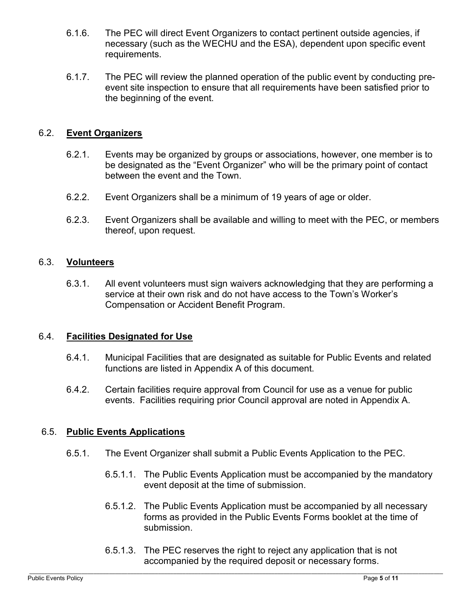- 6.1.6. The PEC will direct Event Organizers to contact pertinent outside agencies, if necessary (such as the WECHU and the ESA), dependent upon specific event requirements.
- 6.1.7. The PEC will review the planned operation of the public event by conducting preevent site inspection to ensure that all requirements have been satisfied prior to the beginning of the event.

## 6.2. **Event Organizers**

- 6.2.1. Events may be organized by groups or associations, however, one member is to be designated as the "Event Organizer" who will be the primary point of contact between the event and the Town.
- 6.2.2. Event Organizers shall be a minimum of 19 years of age or older.
- 6.2.3. Event Organizers shall be available and willing to meet with the PEC, or members thereof, upon request.

#### 6.3. **Volunteers**

6.3.1. All event volunteers must sign waivers acknowledging that they are performing a service at their own risk and do not have access to the Town's Worker's Compensation or Accident Benefit Program.

#### 6.4. **Facilities Designated for Use**

- 6.4.1. Municipal Facilities that are designated as suitable for Public Events and related functions are listed in Appendix A of this document.
- 6.4.2. Certain facilities require approval from Council for use as a venue for public events. Facilities requiring prior Council approval are noted in Appendix A.

#### 6.5. **Public Events Applications**

- 6.5.1. The Event Organizer shall submit a Public Events Application to the PEC.
	- 6.5.1.1. The Public Events Application must be accompanied by the mandatory event deposit at the time of submission.
	- 6.5.1.2. The Public Events Application must be accompanied by all necessary forms as provided in the Public Events Forms booklet at the time of submission.
	- 6.5.1.3. The PEC reserves the right to reject any application that is not accompanied by the required deposit or necessary forms.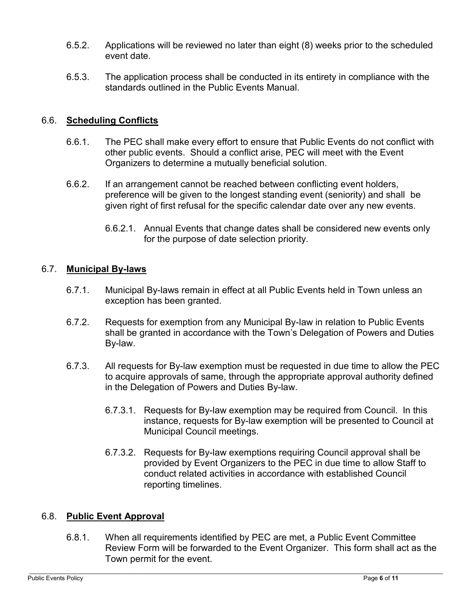- 6.5.2. Applications will be reviewed no later than eight (8) weeks prior to the scheduled event date.
- 6.5.3. The application process shall be conducted in its entirety in compliance with the standards outlined in the Public Events Manual.

## 6.6. **Scheduling Conflicts**

- 6.6.1. The PEC shall make every effort to ensure that Public Events do not conflict with other public events. Should a conflict arise, PEC will meet with the Event Organizers to determine a mutually beneficial solution.
- 6.6.2. If an arrangement cannot be reached between conflicting event holders, preference will be given to the longest standing event (seniority) and shall be given right of first refusal for the specific calendar date over any new events.
	- 6.6.2.1. Annual Events that change dates shall be considered new events only for the purpose of date selection priority.

#### 6.7. **Municipal By-laws**

- 6.7.1. Municipal By-laws remain in effect at all Public Events held in Town unless an exception has been granted.
- 6.7.2. Requests for exemption from any Municipal By-law in relation to Public Events shall be granted in accordance with the Town's Delegation of Powers and Duties By-law.
- 6.7.3. All requests for By-law exemption must be requested in due time to allow the PEC to acquire approvals of same, through the appropriate approval authority defined in the Delegation of Powers and Duties By-law.
	- 6.7.3.1. Requests for By-law exemption may be required from Council. In this instance, requests for By-law exemption will be presented to Council at Municipal Council meetings.
	- 6.7.3.2. Requests for By-law exemptions requiring Council approval shall be provided by Event Organizers to the PEC in due time to allow Staff to conduct related activities in accordance with established Council reporting timelines.

#### 6.8. **Public Event Approval**

6.8.1. When all requirements identified by PEC are met, a Public Event Committee Review Form will be forwarded to the Event Organizer. This form shall act as the Town permit for the event.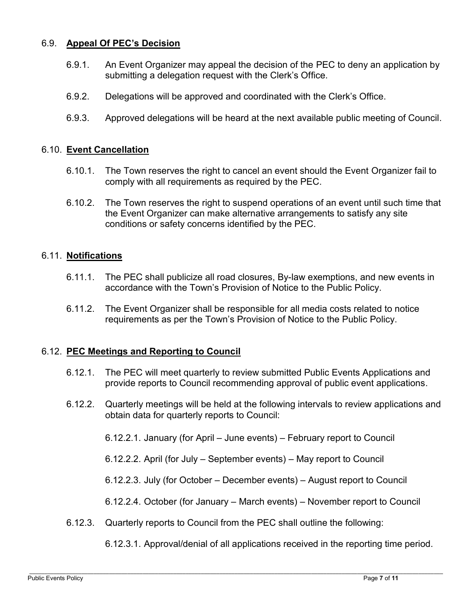## 6.9. **Appeal Of PEC's Decision**

- 6.9.1. An Event Organizer may appeal the decision of the PEC to deny an application by submitting a delegation request with the Clerk's Office.
- 6.9.2. Delegations will be approved and coordinated with the Clerk's Office.
- 6.9.3. Approved delegations will be heard at the next available public meeting of Council.

#### 6.10. **Event Cancellation**

- 6.10.1. The Town reserves the right to cancel an event should the Event Organizer fail to comply with all requirements as required by the PEC.
- 6.10.2. The Town reserves the right to suspend operations of an event until such time that the Event Organizer can make alternative arrangements to satisfy any site conditions or safety concerns identified by the PEC.

#### 6.11. **Notifications**

- 6.11.1. The PEC shall publicize all road closures, By-law exemptions, and new events in accordance with the Town's Provision of Notice to the Public Policy.
- 6.11.2. The Event Organizer shall be responsible for all media costs related to notice requirements as per the Town's Provision of Notice to the Public Policy.

#### 6.12. **PEC Meetings and Reporting to Council**

- 6.12.1. The PEC will meet quarterly to review submitted Public Events Applications and provide reports to Council recommending approval of public event applications.
- 6.12.2. Quarterly meetings will be held at the following intervals to review applications and obtain data for quarterly reports to Council:
	- 6.12.2.1. January (for April June events) February report to Council
	- 6.12.2.2. April (for July September events) May report to Council
	- 6.12.2.3. July (for October December events) August report to Council
	- 6.12.2.4. October (for January March events) November report to Council
- 6.12.3. Quarterly reports to Council from the PEC shall outline the following:

6.12.3.1. Approval/denial of all applications received in the reporting time period.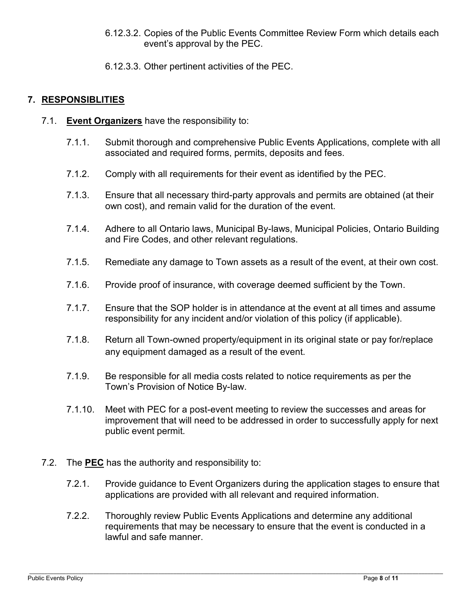- 6.12.3.2. Copies of the Public Events Committee Review Form which details each event's approval by the PEC.
- 6.12.3.3. Other pertinent activities of the PEC.

# **7. RESPONSIBLITIES**

- 7.1. **Event Organizers** have the responsibility to:
	- 7.1.1. Submit thorough and comprehensive Public Events Applications, complete with all associated and required forms, permits, deposits and fees.
	- 7.1.2. Comply with all requirements for their event as identified by the PEC.
	- 7.1.3. Ensure that all necessary third-party approvals and permits are obtained (at their own cost), and remain valid for the duration of the event.
	- 7.1.4. Adhere to all Ontario laws, Municipal By-laws, Municipal Policies, Ontario Building and Fire Codes, and other relevant regulations.
	- 7.1.5. Remediate any damage to Town assets as a result of the event, at their own cost.
	- 7.1.6. Provide proof of insurance, with coverage deemed sufficient by the Town.
	- 7.1.7. Ensure that the SOP holder is in attendance at the event at all times and assume responsibility for any incident and/or violation of this policy (if applicable).
	- 7.1.8. Return all Town-owned property/equipment in its original state or pay for/replace any equipment damaged as a result of the event.
	- 7.1.9. Be responsible for all media costs related to notice requirements as per the Town's Provision of Notice By-law.
	- 7.1.10. Meet with PEC for a post-event meeting to review the successes and areas for improvement that will need to be addressed in order to successfully apply for next public event permit.
- 7.2. The **PEC** has the authority and responsibility to:
	- 7.2.1. Provide guidance to Event Organizers during the application stages to ensure that applications are provided with all relevant and required information.
	- 7.2.2. Thoroughly review Public Events Applications and determine any additional requirements that may be necessary to ensure that the event is conducted in a lawful and safe manner.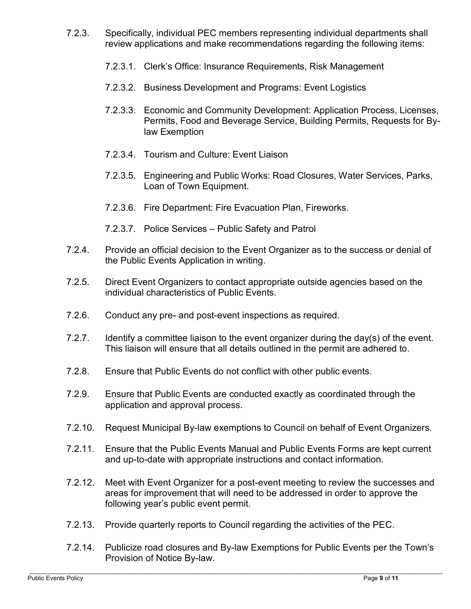- 7.2.3. Specifically, individual PEC members representing individual departments shall review applications and make recommendations regarding the following items:
	- 7.2.3.1. Clerk's Office: Insurance Requirements, Risk Management
	- 7.2.3.2. Business Development and Programs: Event Logistics
	- 7.2.3.3. Economic and Community Development: Application Process, Licenses, Permits, Food and Beverage Service, Building Permits, Requests for Bylaw Exemption
	- 7.2.3.4. Tourism and Culture: Event Liaison
	- 7.2.3.5. Engineering and Public Works: Road Closures, Water Services, Parks, Loan of Town Equipment.
	- 7.2.3.6. Fire Department: Fire Evacuation Plan, Fireworks.
	- 7.2.3.7. Police Services Public Safety and Patrol
- 7.2.4. Provide an official decision to the Event Organizer as to the success or denial of the Public Events Application in writing.
- 7.2.5. Direct Event Organizers to contact appropriate outside agencies based on the individual characteristics of Public Events.
- 7.2.6. Conduct any pre- and post-event inspections as required.
- 7.2.7. Identify a committee liaison to the event organizer during the day(s) of the event. This liaison will ensure that all details outlined in the permit are adhered to.
- 7.2.8. Ensure that Public Events do not conflict with other public events.
- 7.2.9. Ensure that Public Events are conducted exactly as coordinated through the application and approval process.
- 7.2.10. Request Municipal By-law exemptions to Council on behalf of Event Organizers.
- 7.2.11. Ensure that the Public Events Manual and Public Events Forms are kept current and up-to-date with appropriate instructions and contact information.
- 7.2.12. Meet with Event Organizer for a post-event meeting to review the successes and areas for improvement that will need to be addressed in order to approve the following year's public event permit.
- 7.2.13. Provide quarterly reports to Council regarding the activities of the PEC.
- 7.2.14. Publicize road closures and By-law Exemptions for Public Events per the Town's Provision of Notice By-law.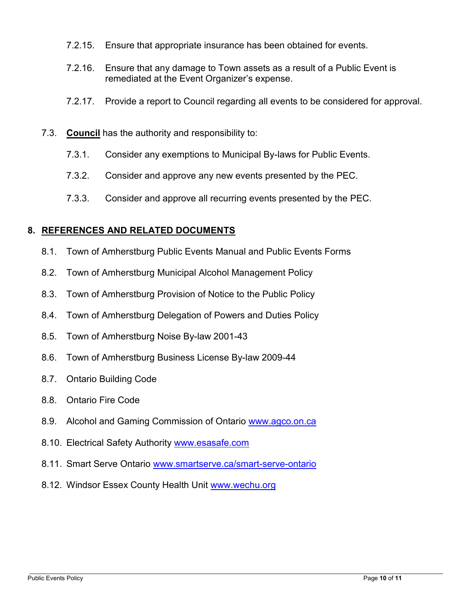- 7.2.15. Ensure that appropriate insurance has been obtained for events.
- 7.2.16. Ensure that any damage to Town assets as a result of a Public Event is remediated at the Event Organizer's expense.
- 7.2.17. Provide a report to Council regarding all events to be considered for approval.
- 7.3. **Council** has the authority and responsibility to:
	- 7.3.1. Consider any exemptions to Municipal By-laws for Public Events.
	- 7.3.2. Consider and approve any new events presented by the PEC.
	- 7.3.3. Consider and approve all recurring events presented by the PEC.

#### **8. REFERENCES AND RELATED DOCUMENTS**

- 8.1. Town of Amherstburg Public Events Manual and Public Events Forms
- 8.2. Town of Amherstburg Municipal Alcohol Management Policy
- 8.3. Town of Amherstburg Provision of Notice to the Public Policy
- 8.4. Town of Amherstburg Delegation of Powers and Duties Policy
- 8.5. Town of Amherstburg Noise By-law 2001-43
- 8.6. Town of Amherstburg Business License By-law 2009-44
- 8.7. Ontario Building Code
- 8.8. Ontario Fire Code
- 8.9. Alcohol and Gaming Commission of Ontario [www.agco.on.ca](http://www.agco.on.ca/)
- 8.10. Electrical Safety Authority www.esasafe.com
- 8.11. Smart Serve Ontario [www.smartserve.ca/smart-serve-ontario](http://www.smartserve.ca/smart-serve-ontario)
- 8.12. Windsor Essex County Health Unit [www.wechu.org](http://www.wechu.org/)